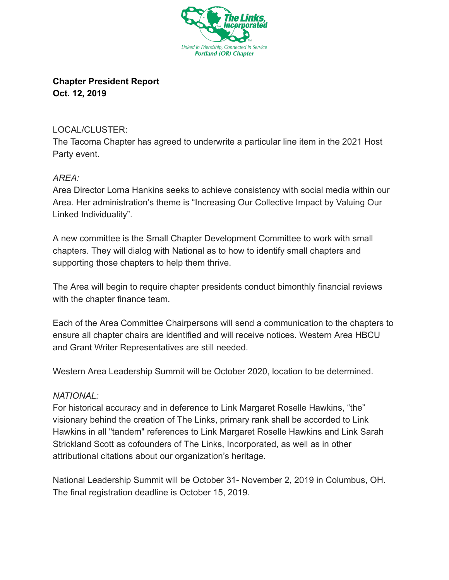

**Chapter President Report Oct. 12, 2019** 

## LOCAL/CLUSTER:

The Tacoma Chapter has agreed to underwrite a particular line item in the 2021 Host Party event.

## *AREA:*

Area Director Lorna Hankins seeks to achieve consistency with social media within our Area. Her administration's theme is "Increasing Our Collective Impact by Valuing Our Linked Individuality".

A new committee is the Small Chapter Development Committee to work with small chapters. They will dialog with National as to how to identify small chapters and supporting those chapters to help them thrive.

The Area will begin to require chapter presidents conduct bimonthly financial reviews with the chapter finance team.

Each of the Area Committee Chairpersons will send a communication to the chapters to ensure all chapter chairs are identified and will receive notices. Western Area HBCU and Grant Writer Representatives are still needed.

Western Area Leadership Summit will be October 2020, location to be determined.

## *NATIONAL:*

For historical accuracy and in deference to Link Margaret Roselle Hawkins, "the" visionary behind the creation of The Links, primary rank shall be accorded to Link Hawkins in all "tandem" references to Link Margaret Roselle Hawkins and Link Sarah Strickland Scott as cofounders of The Links, Incorporated, as well as in other attributional citations about our organization's heritage.

National Leadership Summit will be October 31- November 2, 2019 in Columbus, OH. The final registration deadline is October 15, 2019.